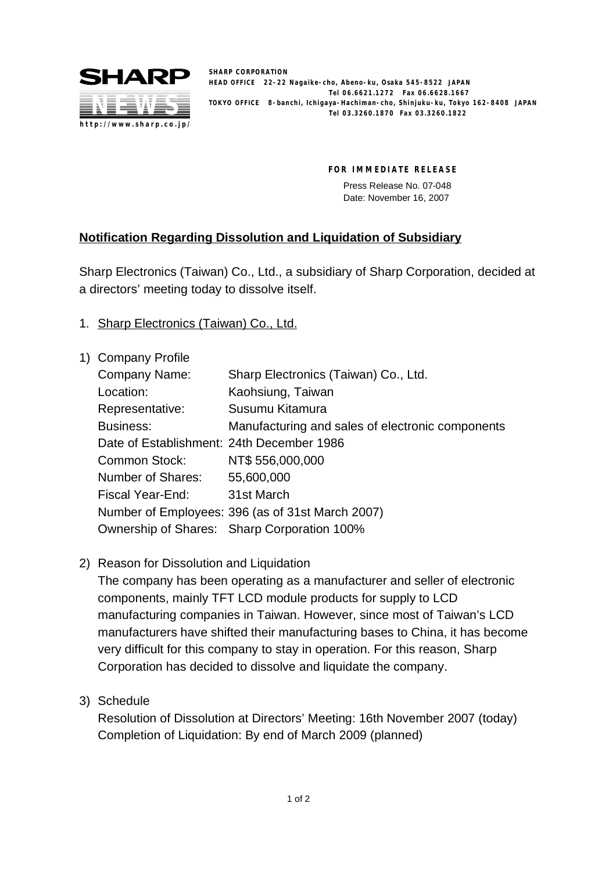

**SHARP CORPORATION HEAD OFFICE 22-22 Nagaike-cho, Abeno-ku, Osaka 545-8522 JAPAN Tel 06.6621.1272 Fax 06.6628.1667 TOKYO OFFICE 8-banchi, Ichigaya-Hachiman-cho, Shinjuku-ku, Tokyo 162-8408 JAPAN Tel 03.3260.1870 Fax 03.3260.1822**

**FOR IMMEDIATE RELEASE**

Press Release No. 07-048 Date: November 16, 2007

## **Notification Regarding Dissolution and Liquidation of Subsidiary**

Sharp Electronics (Taiwan) Co., Ltd., a subsidiary of Sharp Corporation, decided at a directors' meeting today to dissolve itself.

- 1. Sharp Electronics (Taiwan) Co., Ltd.
- 1) Company Profile Company Name: Sharp Electronics (Taiwan) Co., Ltd. Location: Kaohsiung, Taiwan Representative: Susumu Kitamura Business: Manufacturing and sales of electronic components Date of Establishment: 24th December 1986 Common Stock: NT\$ 556,000,000 Number of Shares: 55,600,000 Fiscal Year-End: 31st March Number of Employees: 396 (as of 31st March 2007) Ownership of Shares: Sharp Corporation 100%
- 2) Reason for Dissolution and Liquidation

The company has been operating as a manufacturer and seller of electronic components, mainly TFT LCD module products for supply to LCD manufacturing companies in Taiwan. However, since most of Taiwan's LCD manufacturers have shifted their manufacturing bases to China, it has become very difficult for this company to stay in operation. For this reason, Sharp Corporation has decided to dissolve and liquidate the company.

3) Schedule

Resolution of Dissolution at Directors' Meeting: 16th November 2007 (today) Completion of Liquidation: By end of March 2009 (planned)